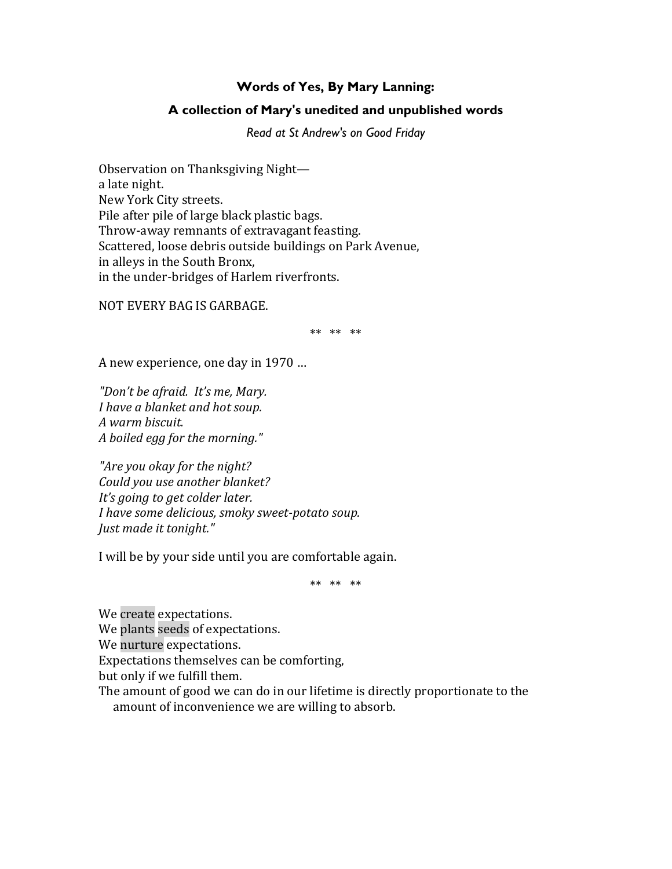## **Words of Yes, By Mary Lanning:**

## **A collection of Mary's unedited and unpublished words**

*Read at St Andrew's on Good Friday*

Observation on Thanksgiving Night a late night. New York City streets. Pile after pile of large black plastic bags. Throw-away remnants of extravagant feasting. Scattered, loose debris outside buildings on Park Avenue, in alleys in the South Bronx, in the under-bridges of Harlem riverfronts.

NOT EVERY BAG IS GARBAGE.

\*\* \*\* \*\*

A new experience, one day in 1970 …

*"Don't be afraid. It's me, Mary. I have a blanket and hot soup. A warm biscuit. A boiled egg for the morning."*

*"Are you okay for the night? Could you use another blanket? It's going to get colder later. I have some delicious, smoky sweet-potato soup. Just made it tonight."*

I will be by your side until you are comfortable again.

\*\* \*\* \*\*

We create expectations. We plants seeds of expectations. We nurture expectations. Expectations themselves can be comforting, but only if we fulfill them. The amount of good we can do in our lifetime is directly proportionate to the amount of inconvenience we are willing to absorb.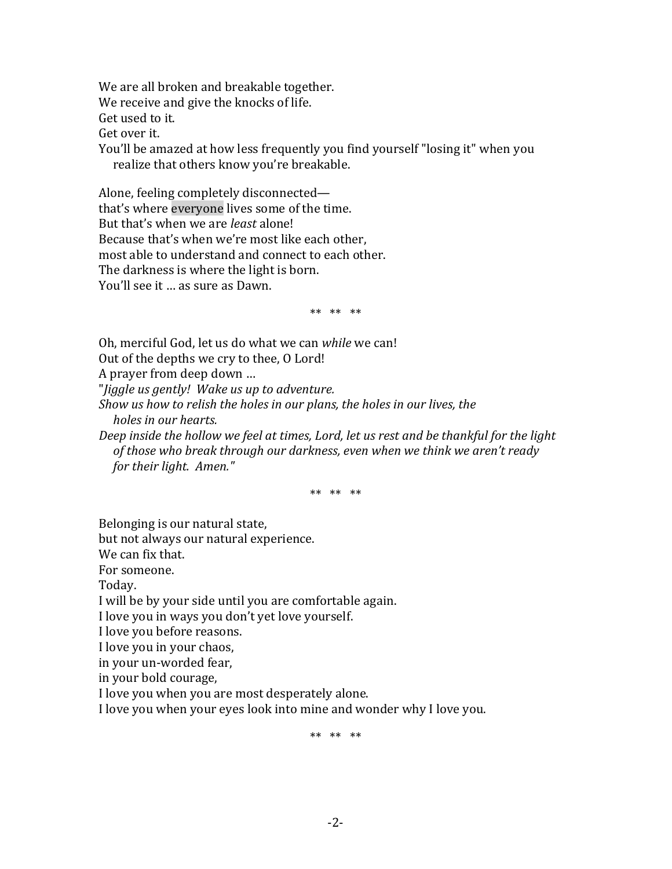We are all broken and breakable together. We receive and give the knocks of life. Get used to it. Get over it. You'll be amazed at how less frequently you find yourself "losing it" when you realize that others know you're breakable.

Alone, feeling completely disconnected that's where everyone lives some of the time. But that's when we are *least* alone! Because that's when we're most like each other, most able to understand and connect to each other. The darkness is where the light is born. You'll see it … as sure as Dawn.

\*\* \*\* \*\*

Oh, merciful God, let us do what we can *while* we can!

Out of the depths we cry to thee, O Lord!

A prayer from deep down …

"*Jiggle us gently! Wake us up to adventure.* 

*Show us how to relish the holes in our plans, the holes in our lives, the holes in our hearts.* 

*Deep inside the hollow we feel at times, Lord, let us rest and be thankful for the light of those who break through our darkness, even when we think we aren't ready for their light. Amen."*

\*\* \*\* \*\*

Belonging is our natural state,

but not always our natural experience.

We can fix that.

For someone.

Today.

I will be by your side until you are comfortable again.

I love you in ways you don't yet love yourself.

I love you before reasons.

I love you in your chaos,

in your un-worded fear,

in your bold courage,

I love you when you are most desperately alone.

I love you when your eyes look into mine and wonder why I love you.

\*\* \*\* \*\*